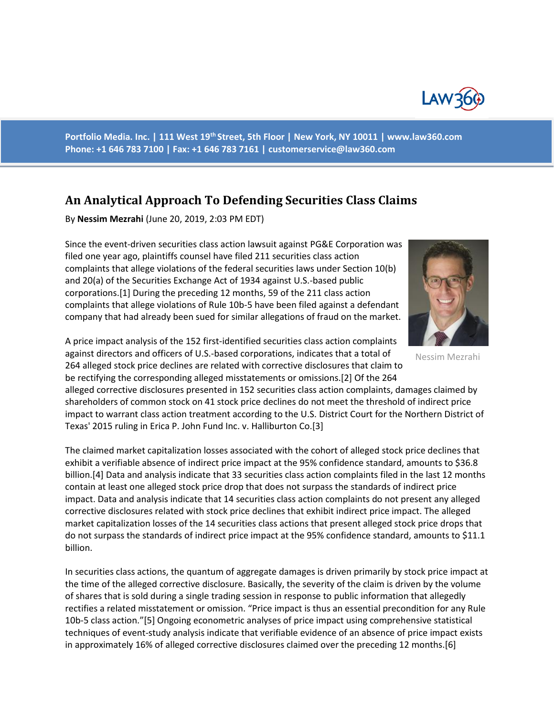

**Portfolio Media. Inc. | 111 West 19th Street, 5th Floor | New York, NY 10011 | www.law360.com Phone: +1 646 783 7100 | Fax: +1 646 783 7161 | customerservice@law360.com**

## **An Analytical Approach To Defending Securities Class Claims**

By **Nessim Mezrahi** (June 20, 2019, 2:03 PM EDT)

Since the event-driven securities class action lawsuit against PG&E Corporation was filed one year ago, plaintiffs counsel have filed 211 securities class action complaints that allege violations of the federal securities laws under Section 10(b) and 20(a) of the Securities Exchange Act of 1934 against U.S.-based public corporations.[1] During the preceding 12 months, 59 of the 211 class action complaints that allege violations of Rule 10b-5 have been filed against a defendant company that had already been sued for similar allegations of fraud on the market.



Nessim Mezrahi

A price impact analysis of the 152 first-identified securities class action complaints against directors and officers of U.S.-based corporations, indicates that a total of 264 alleged stock price declines are related with corrective disclosures that claim to be rectifying the corresponding alleged misstatements or omissions.[2] Of the 264

alleged corrective disclosures presented in 152 securities class action complaints, damages claimed by shareholders of common stock on 41 stock price declines do not meet the threshold of indirect price impact to warrant class action treatment according to the U.S. District Court for the Northern District of Texas' 2015 ruling in Erica P. John Fund Inc. v. Halliburton Co.[3]

The claimed market capitalization losses associated with the cohort of alleged stock price declines that exhibit a verifiable absence of indirect price impact at the 95% confidence standard, amounts to \$36.8 billion.[4] Data and analysis indicate that 33 securities class action complaints filed in the last 12 months contain at least one alleged stock price drop that does not surpass the standards of indirect price impact. Data and analysis indicate that 14 securities class action complaints do not present any alleged corrective disclosures related with stock price declines that exhibit indirect price impact. The alleged market capitalization losses of the 14 securities class actions that present alleged stock price drops that do not surpass the standards of indirect price impact at the 95% confidence standard, amounts to \$11.1 billion.

In securities class actions, the quantum of aggregate damages is driven primarily by stock price impact at the time of the alleged corrective disclosure. Basically, the severity of the claim is driven by the volume of shares that is sold during a single trading session in response to public information that allegedly rectifies a related misstatement or omission. "Price impact is thus an essential precondition for any Rule 10b-5 class action."[5] Ongoing econometric analyses of price impact using comprehensive statistical techniques of event-study analysis indicate that verifiable evidence of an absence of price impact exists in approximately 16% of alleged corrective disclosures claimed over the preceding 12 months.[6]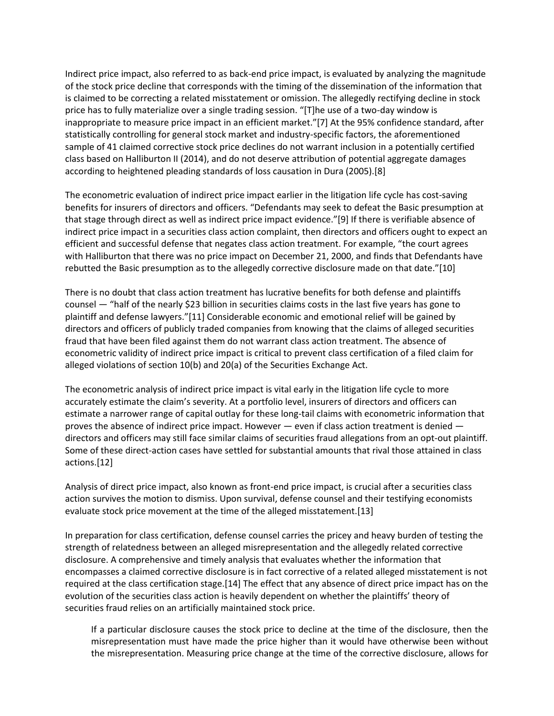Indirect price impact, also referred to as back-end price impact, is evaluated by analyzing the magnitude of the stock price decline that corresponds with the timing of the dissemination of the information that is claimed to be correcting a related misstatement or omission. The allegedly rectifying decline in stock price has to fully materialize over a single trading session. "[T]he use of a two-day window is inappropriate to measure price impact in an efficient market."[7] At the 95% confidence standard, after statistically controlling for general stock market and industry-specific factors, the aforementioned sample of 41 claimed corrective stock price declines do not warrant inclusion in a potentially certified class based on Halliburton II (2014), and do not deserve attribution of potential aggregate damages according to heightened pleading standards of loss causation in Dura (2005).[8]

The econometric evaluation of indirect price impact earlier in the litigation life cycle has cost-saving benefits for insurers of directors and officers. "Defendants may seek to defeat the Basic presumption at that stage through direct as well as indirect price impact evidence."[9] If there is verifiable absence of indirect price impact in a securities class action complaint, then directors and officers ought to expect an efficient and successful defense that negates class action treatment. For example, "the court agrees with Halliburton that there was no price impact on December 21, 2000, and finds that Defendants have rebutted the Basic presumption as to the allegedly corrective disclosure made on that date."[10]

There is no doubt that class action treatment has lucrative benefits for both defense and plaintiffs counsel — "half of the nearly \$23 billion in securities claims costs in the last five years has gone to plaintiff and defense lawyers."[11] Considerable economic and emotional relief will be gained by directors and officers of publicly traded companies from knowing that the claims of alleged securities fraud that have been filed against them do not warrant class action treatment. The absence of econometric validity of indirect price impact is critical to prevent class certification of a filed claim for alleged violations of section 10(b) and 20(a) of the Securities Exchange Act.

The econometric analysis of indirect price impact is vital early in the litigation life cycle to more accurately estimate the claim's severity. At a portfolio level, insurers of directors and officers can estimate a narrower range of capital outlay for these long-tail claims with econometric information that proves the absence of indirect price impact. However — even if class action treatment is denied directors and officers may still face similar claims of securities fraud allegations from an opt-out plaintiff. Some of these direct-action cases have settled for substantial amounts that rival those attained in class actions.[12]

Analysis of direct price impact, also known as front-end price impact, is crucial after a securities class action survives the motion to dismiss. Upon survival, defense counsel and their testifying economists evaluate stock price movement at the time of the alleged misstatement.[13]

In preparation for class certification, defense counsel carries the pricey and heavy burden of testing the strength of relatedness between an alleged misrepresentation and the allegedly related corrective disclosure. A comprehensive and timely analysis that evaluates whether the information that encompasses a claimed corrective disclosure is in fact corrective of a related alleged misstatement is not required at the class certification stage.[14] The effect that any absence of direct price impact has on the evolution of the securities class action is heavily dependent on whether the plaintiffs' theory of securities fraud relies on an artificially maintained stock price.

If a particular disclosure causes the stock price to decline at the time of the disclosure, then the misrepresentation must have made the price higher than it would have otherwise been without the misrepresentation. Measuring price change at the time of the corrective disclosure, allows for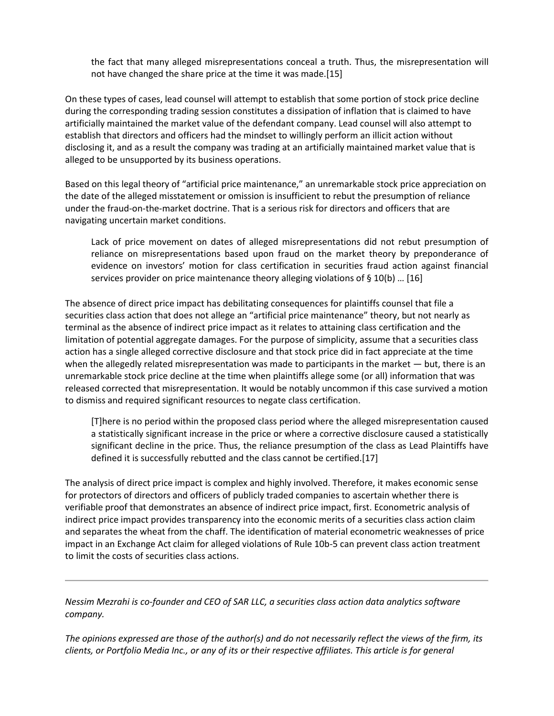the fact that many alleged misrepresentations conceal a truth. Thus, the misrepresentation will not have changed the share price at the time it was made.[15]

On these types of cases, lead counsel will attempt to establish that some portion of stock price decline during the corresponding trading session constitutes a dissipation of inflation that is claimed to have artificially maintained the market value of the defendant company. Lead counsel will also attempt to establish that directors and officers had the mindset to willingly perform an illicit action without disclosing it, and as a result the company was trading at an artificially maintained market value that is alleged to be unsupported by its business operations.

Based on this legal theory of "artificial price maintenance," an unremarkable stock price appreciation on the date of the alleged misstatement or omission is insufficient to rebut the presumption of reliance under the fraud-on-the-market doctrine. That is a serious risk for directors and officers that are navigating uncertain market conditions.

Lack of price movement on dates of alleged misrepresentations did not rebut presumption of reliance on misrepresentations based upon fraud on the market theory by preponderance of evidence on investors' motion for class certification in securities fraud action against financial services provider on price maintenance theory alleging violations of § 10(b) … [16]

The absence of direct price impact has debilitating consequences for plaintiffs counsel that file a securities class action that does not allege an "artificial price maintenance" theory, but not nearly as terminal as the absence of indirect price impact as it relates to attaining class certification and the limitation of potential aggregate damages. For the purpose of simplicity, assume that a securities class action has a single alleged corrective disclosure and that stock price did in fact appreciate at the time when the allegedly related misrepresentation was made to participants in the market — but, there is an unremarkable stock price decline at the time when plaintiffs allege some (or all) information that was released corrected that misrepresentation. It would be notably uncommon if this case survived a motion to dismiss and required significant resources to negate class certification.

[T]here is no period within the proposed class period where the alleged misrepresentation caused a statistically significant increase in the price or where a corrective disclosure caused a statistically significant decline in the price. Thus, the reliance presumption of the class as Lead Plaintiffs have defined it is successfully rebutted and the class cannot be certified.[17]

The analysis of direct price impact is complex and highly involved. Therefore, it makes economic sense for protectors of directors and officers of publicly traded companies to ascertain whether there is verifiable proof that demonstrates an absence of indirect price impact, first. Econometric analysis of indirect price impact provides transparency into the economic merits of a securities class action claim and separates the wheat from the chaff. The identification of material econometric weaknesses of price impact in an Exchange Act claim for alleged violations of Rule 10b-5 can prevent class action treatment to limit the costs of securities class actions.

*Nessim Mezrahi is co-founder and CEO of SAR LLC, a securities class action data analytics software company.*

*The opinions expressed are those of the author(s) and do not necessarily reflect the views of the firm, its clients, or Portfolio Media Inc., or any of its or their respective affiliates. This article is for general*